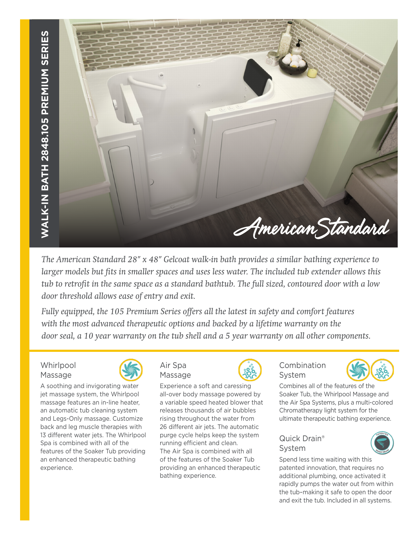

*The American Standard 28" x 48" Gelcoat walk-in bath provides a similar bathing experience to larger models but fits in smaller spaces and uses less water. The included tub extender allows this tub to retrofit in the same space as a standard bathtub. The full sized, contoured door with a low door threshold allows ease of entry and exit.* 

*Fully equipped, the 105 Premium Series offers all the latest in safety and comfort features with the most advanced therapeutic options and backed by a lifetime warranty on the door seal, a 10 year warranty on the tub shell and a 5 year warranty on all other components.*

# **Whirlpool** Massage



A soothing and invigorating water jet massage system, the Whirlpool massage features an in-line heater, an automatic tub cleaning system and Legs-Only massage. Customize back and leg muscle therapies with 13 different water jets. The Whirlpool Spa is combined with all of the features of the Soaker Tub providing an enhanced therapeutic bathing experience.



Massage

Experience a soft and caressing all-over body massage powered by a variable speed heated blower that releases thousands of air bubbles rising throughout the water from 26 different air jets. The automatic purge cycle helps keep the system running efficient and clean. The Air Spa is combined with all of the features of the Soaker Tub providing an enhanced therapeutic bathing experience.



# Combination System



Combines all of the features of the Soaker Tub, the Whirlpool Massage and the Air Spa Systems, plus a multi-colored Chromatherapy light system for the ultimate therapeutic bathing experience.

# Quick Drain® System



Spend less time waiting with this patented innovation, that requires no additional plumbing, once activated it rapidly pumps the water out from within the tub–making it safe to open the door and exit the tub. Included in all systems.